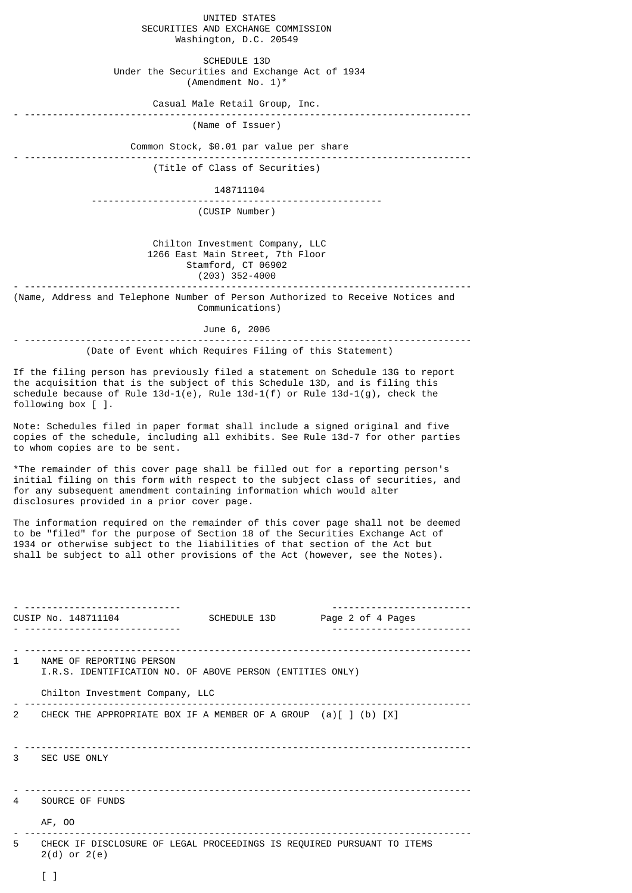UNITED STATES SECURITIES AND EXCHANGE COMMISSION Washington, D.C. 20549 SCHEDULE 13D Under the Securities and Exchange Act of 1934 (Amendment No. 1)\* Casual Male Retail Group, Inc. - -------------------------------------------------------------------------------- (Name of Issuer) Common Stock, \$0.01 par value per share - -------------------------------------------------------------------------------- (Title of Class of Securities) 148711104 ---------------------------------------------------- (CUSIP Number) Chilton Investment Company, LLC 1266 East Main Street, 7th Floor Stamford, CT 06902 (203) 352-4000 - -------------------------------------------------------------------------------- (Name, Address and Telephone Number of Person Authorized to Receive Notices and Communications) June 6, 2006 - -------------------------------------------------------------------------------- (Date of Event which Requires Filing of this Statement) If the filing person has previously filed a statement on Schedule 13G to report the acquisition that is the subject of this Schedule 13D, and is filing this schedule because of Rule 13d-1(e), Rule 13d-1(f) or Rule 13d-1(g), check the following box [ ]. Note: Schedules filed in paper format shall include a signed original and five copies of the schedule, including all exhibits. See Rule 13d-7 for other parties to whom copies are to be sent. \*The remainder of this cover page shall be filled out for a reporting person's initial filing on this form with respect to the subject class of securities, and for any subsequent amendment containing information which would alter disclosures provided in a prior cover page. The information required on the remainder of this cover page shall not be deemed to be "filed" for the purpose of Section 18 of the Securities Exchange Act of 1934 or otherwise subject to the liabilities of that section of the Act but shall be subject to all other provisions of the Act (however, see the Notes). - ---------------------------- ------------------------- CUSIP No. 148711104 SCHEDULE 13D Page 2 of 4 Pages - ---------------------------- ------------------------- - -------------------------------------------------------------------------------- 1 NAME OF REPORTING PERSON I.R.S. IDENTIFICATION NO. OF ABOVE PERSON (ENTITIES ONLY) Chilton Investment Company, LLC - -------------------------------------------------------------------------------- 2 CHECK THE APPROPRIATE BOX IF A MEMBER OF A GROUP (a)[ ] (b) [X] - -------------------------------------------------------------------------------- 3 SEC USE ONLY - -------------------------------------------------------------------------------- SOURCE OF FUNDS AF, OO - -------------------------------------------------------------------------------- 5 CHECK IF DISCLOSURE OF LEGAL PROCEEDINGS IS REQUIRED PURSUANT TO ITEMS 2(d) or 2(e) [ ]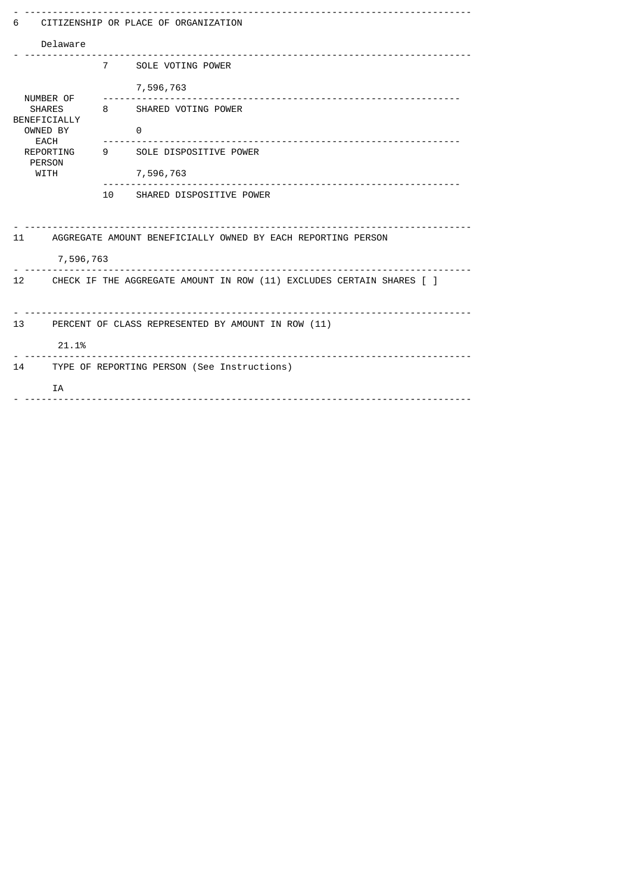| CITIZENSHIP OR PLACE OF ORGANIZATION<br>6                                   |                                                                 |                             |  |  |  |  |  |
|-----------------------------------------------------------------------------|-----------------------------------------------------------------|-----------------------------|--|--|--|--|--|
| Delaware                                                                    |                                                                 |                             |  |  |  |  |  |
|                                                                             |                                                                 | 7 SOLE VOTING POWER         |  |  |  |  |  |
| NUMBER OF                                                                   |                                                                 | 7,596,763                   |  |  |  |  |  |
| <b>SHARES</b><br>BENEFICIALLY                                               |                                                                 | 8 SHARED VOTING POWER       |  |  |  |  |  |
| OWNED BY<br>EACH                                                            |                                                                 | $\Theta$                    |  |  |  |  |  |
| REPORTING<br><b>PERSON</b>                                                  |                                                                 | 9 SOLE DISPOSITIVE POWER    |  |  |  |  |  |
| <b>WITH</b>                                                                 |                                                                 | 7,596,763                   |  |  |  |  |  |
|                                                                             |                                                                 | 10 SHARED DISPOSITIVE POWER |  |  |  |  |  |
|                                                                             |                                                                 |                             |  |  |  |  |  |
|                                                                             | 11 AGGREGATE AMOUNT BENEFICIALLY OWNED BY EACH REPORTING PERSON |                             |  |  |  |  |  |
|                                                                             | 7,596,763                                                       |                             |  |  |  |  |  |
| CHECK IF THE AGGREGATE AMOUNT IN ROW (11) EXCLUDES CERTAIN SHARES [ ]<br>12 |                                                                 |                             |  |  |  |  |  |
| 13 PERCENT OF CLASS REPRESENTED BY AMOUNT IN ROW (11)                       |                                                                 |                             |  |  |  |  |  |
| 21.1%                                                                       |                                                                 |                             |  |  |  |  |  |
| 14                                                                          | TYPE OF REPORTING PERSON (See Instructions)<br>IA               |                             |  |  |  |  |  |
|                                                                             |                                                                 |                             |  |  |  |  |  |
|                                                                             |                                                                 |                             |  |  |  |  |  |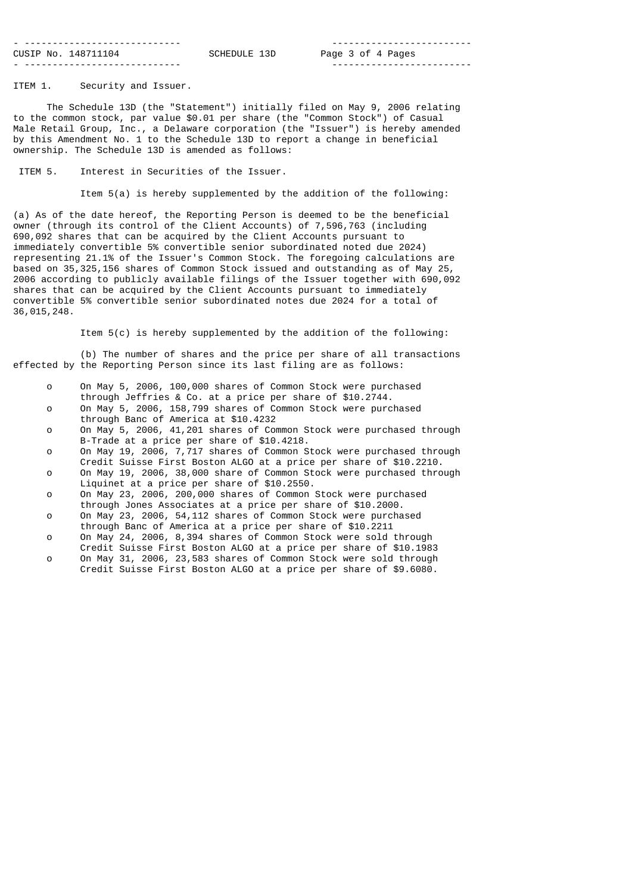| ---------------------------- |              |
|------------------------------|--------------|
| CUSIP No. 148711104          | SCHEDULE 13D |
|                              |              |

- ---------------------------- ------------------------- Page 3 of 4 Pages - ---------------------------- -------------------------

ITEM 1. Security and Issuer.

 The Schedule 13D (the "Statement") initially filed on May 9, 2006 relating to the common stock, par value \$0.01 per share (the "Common Stock") of Casual Male Retail Group, Inc., a Delaware corporation (the "Issuer") is hereby amended by this Amendment No. 1 to the Schedule 13D to report a change in beneficial ownership. The Schedule 13D is amended as follows:

ITEM 5. Interest in Securities of the Issuer.

Item 5(a) is hereby supplemented by the addition of the following:

(a) As of the date hereof, the Reporting Person is deemed to be the beneficial owner (through its control of the Client Accounts) of 7,596,763 (including 690,092 shares that can be acquired by the Client Accounts pursuant to immediately convertible 5% convertible senior subordinated noted due 2024) representing 21.1% of the Issuer's Common Stock. The foregoing calculations are based on 35,325,156 shares of Common Stock issued and outstanding as of May 25, 2006 according to publicly available filings of the Issuer together with 690,092 shares that can be acquired by the Client Accounts pursuant to immediately convertible 5% convertible senior subordinated notes due 2024 for a total of 36,015,248.

Item 5(c) is hereby supplemented by the addition of the following:

 (b) The number of shares and the price per share of all transactions effected by the Reporting Person since its last filing are as follows:

- o On May 5, 2006, 100,000 shares of Common Stock were purchased through Jeffries & Co. at a price per share of \$10.2744.
- o On May 5, 2006, 158,799 shares of Common Stock were purchased through Banc of America at \$10.4232
- o On May 5, 2006, 41,201 shares of Common Stock were purchased through B-Trade at a price per share of \$10.4218.
- o On May 19, 2006, 7,717 shares of Common Stock were purchased through Credit Suisse First Boston ALGO at a price per share of \$10.2210.<br>On May 19, 2006, 38,000 share of Common Stock were purchased thro
- On May 19, 2006, 38,000 share of Common Stock were purchased through Liquinet at a price per share of \$10.2550.<br>On May 23, 2006, 200,000 shares of Common
- On May 23, 2006, 200,000 shares of Common Stock were purchased through Jones Associates at a price per share of \$10.2000.
- On May 23, 2006, 54,112 shares of Common Stock were purchased through Banc of America at a price per share of \$10.2211<br>On May 24, 2006, 8.394 shares of Common Stock were sold
- On May 24, 2006, 8,394 shares of Common Stock were sold through
- Credit Suisse First Boston ALGO at a price per share of \$10.1983 o On May 31, 2006, 23,583 shares of Common Stock were sold through Credit Suisse First Boston ALGO at a price per share of \$9.6080.